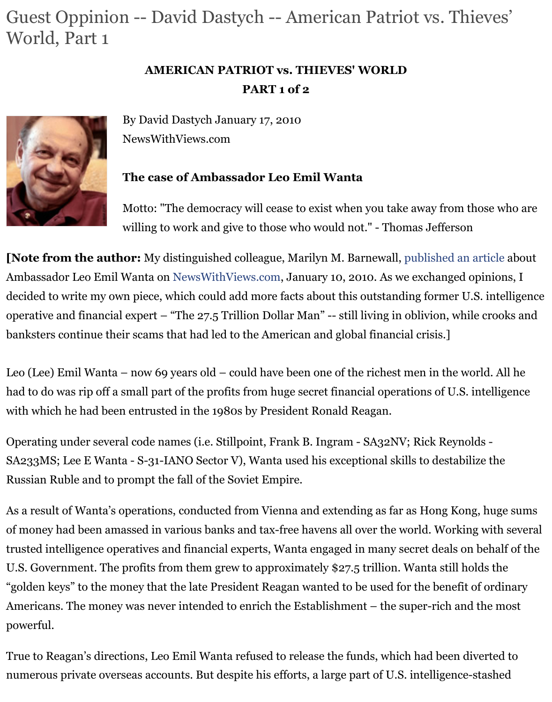

By David Dastych January 17, 2010 NewsWithViews.com

# **The case of Ambassador Leo Emil Wanta**

Motto: "The democracy will cease to exist when you take away from the Motto: willing to work and give to those who would not." - Thomas Jefferson

**[Note from the author:** My distinguished colleague, Marilyn M. Barnewall, published an Ambassador Leo Emil Wanta on NewsWithViews.com, January 10, 2010. As we exchanged decided to write my own piece, which could add more facts about this outstanding former U.S. intelligence. operative and financial expert – "The  $27.5$  Trillion Dollar Man" -- still living in oblivion, while banksters continue their scams that had led to the American and global financial crisis.]

Leo (Lee) Emil Wanta – now 69 [years old – could have](http://www.newswithviews.com/) been one of the richest men in the w had to do was rip off a small part of the profits from huge secret financial operations of U.S. with which he had been entrusted in the 1980s by President Ronald Reagan.

Operating under several code names (i.e. Stillpoint, Frank B. Ingram - SA32NV; Rick Reynolds SA233MS; Lee E Wanta - S-31-IANO Sector V), Wanta used his exceptional skills to destabi Russian Ruble and to prompt the fall of the Soviet Empire.

As a result of Wanta's operations, conducted from Vienna and extending as far as Hong Kor of money had been amassed in various banks and tax-free havens all over the world. Working trusted intelligence operatives and financial experts, Wanta engaged in many secret deals on U.S. Government. The profits from them grew to approximately  $$27.5$  trillion. Wanta still h "golden keys" to the money that the late President Reagan wanted to be used for the benefit Americans. The money was never intended to enrich the Establishment – the super-rich and powerful.

True to Reagan's directions, Leo Emil Wanta refused to release the funds, which had been d numerous private overseas accounts. But despite his efforts, a large part of U.S. intelligence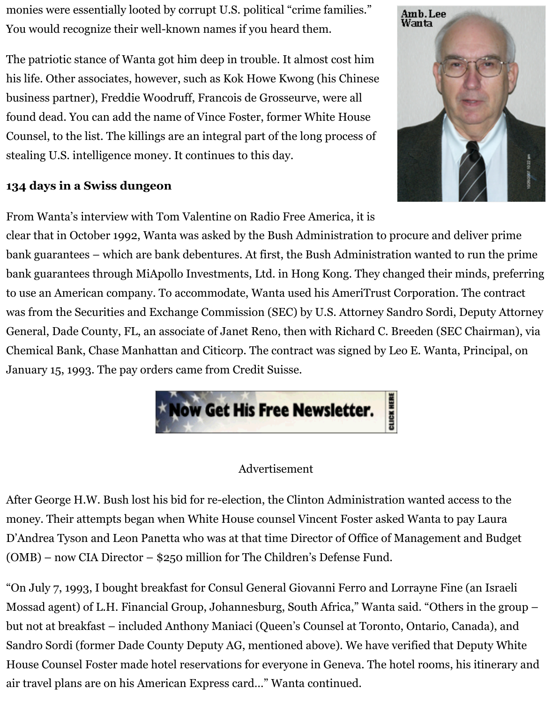business partner), Freddie Woodruff, Francois de Grosseurve, were all found dead. You can add the name of Vince Foster, former White House Counsel, to the list. The killings are an integral part of the long process of stealing U.S. intelligence money. It continues to this day.

# **134 days in a Swiss dungeon**



From Wanta's interview with Tom Valentine on Radio Free America, it is clear that in October 1992, Wanta was asked by the Bush Administration to procure and del bank guarantees – which are bank debentures. At first, the Bush Administration wanted to run the prime prime prime. bank guarantees through MiApollo Investments, Ltd. in Hong Kong. They changed their mi to use an American company. To accommodate, Wanta used his AmeriTrust Corporation. T was from the Securities and Exchange Commission (SEC) by U.S. Attorney Sandro Sordi, Deputy Attorney Attorney Attorney Attorney Attorney Attorney Attorney Attorney Attorney Attorney Attorney Attorney Attorney Attorney Atto General, Dade County, FL, an associate of Janet Reno, then with Richard C. Breeden (SEC C Chemical Bank, Chase Manhattan and Citicorp. The contract was signed by Leo E. Wanta, P January 15, 1993. The pay orders came from Credit Suisse.



### Advertisement

After George H.W. Bush lost his bid for re-election, the Clinton Administration wanted acce money. Their attempts began when White House counsel Vincent Foster asked Wanta to pa D'Andrea Tyson and Leon Panetta who was at that time Director of Office of Management a (OMB) – now CIA Director – \$250 million for The Children's Defense Fund.

"On July 7, 1993, I bought breakfast for Consul General Giovanni Ferro and Lorrayne Fine ( Mossad agent) of L.H. Financial Group, Johannesburg, South Africa," Wanta said. "Others in but not at breakfast – included Anthony Maniaci (Queen's Counsel at Toronto, Ontario, Car Sandro Sordi (former Dade County Deputy AG, mentioned above). We have verified that De House Counsel Foster made hotel reservations for everyone in Geneva. The hotel rooms, his air travel plans are on his American Express card…" Wanta continued.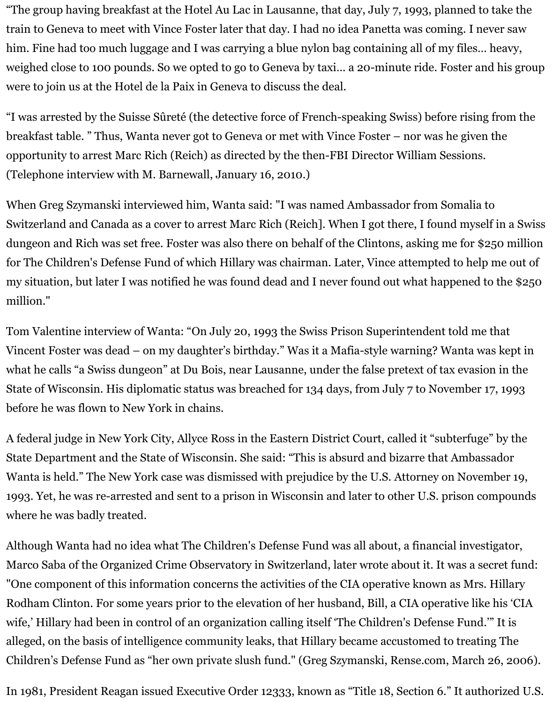"The group having breakfast at the Hotel Au Lac in Lausanne, that day, July 7, 1993, planned to take the train to Geneva to meet with Vince Foster later that day. I had no idea Panetta was coming. I never saw him. Fine had too much luggage and I was carrying a blue nylon bag containing all of my files… heavy, weighed close to 100 pounds. So we opted to go to Geneva by taxi… a 20-minute ride. Foster and his group were to join us at the Hotel de la Paix in Geneva to discuss the deal.

"I was arrested by the Suisse Sûreté (the detective force of French-speaking Swiss) before rising from the breakfast table. " Thus, Wanta never got to Geneva or met with Vince Foster – nor was he given the opportunity to arrest Marc Rich (Reich) as directed by the then-FBI Director William Sessions. (Telephone interview with M. Barnewall, January 16, 2010.)

When Greg Szymanski interviewed him, Wanta said: "I was named Ambassador from Somalia to Switzerland and Canada as a cover to arrest Marc Rich (Reich]. When I got there, I found myself in a Swiss dungeon and Rich was set free. Foster was also there on behalf of the Clintons, asking me for \$250 million for The Children's Defense Fund of which Hillary was chairman. Later, Vince attempted to help me out of my situation, but later I was notified he was found dead and I never found out what happened to the \$250 million."

Tom Valentine interview of Wanta: "On July 20, 1993 the Swiss Prison Superintendent told me that Vincent Foster was dead – on my daughter's birthday." Was it a Mafia-style warning? Wanta was kept in what he calls "a Swiss dungeon" at Du Bois, near Lausanne, under the false pretext of tax evasion in the State of Wisconsin. His diplomatic status was breached for 134 days, from July 7 to November 17, 1993 before he was flown to New York in chains.

A federal judge in New York City, Allyce Ross in the Eastern District Court, called it "subterfuge" by the State Department and the State of Wisconsin. She said: "This is absurd and bizarre that Ambassador Wanta is held." The New York case was dismissed with prejudice by the U.S. Attorney on November 19, 1993. Yet, he was re-arrested and sent to a prison in Wisconsin and later to other U.S. prison compounds where he was badly treated.

Although Wanta had no idea what The Children's Defense Fund was all about, a financial investigator, Marco Saba of the Organized Crime Observatory in Switzerland, later wrote about it. It was a secret fund: "One component of this information concerns the activities of the CIA operative known as Mrs. Hillary Rodham Clinton. For some years prior to the elevation of her husband, Bill, a CIA operative like his 'CIA wife,' Hillary had been in control of an organization calling itself 'The Children's Defense Fund.'" It is alleged, on the basis of intelligence community leaks, that Hillary became accustomed to treating The Children's Defense Fund as "her own private slush fund." (Greg Szymanski, Rense.com, March 26, 2006).

In 1981, President Reagan issued Executive Order 12333, known as "Title 18, Section 6." It authorized U.S.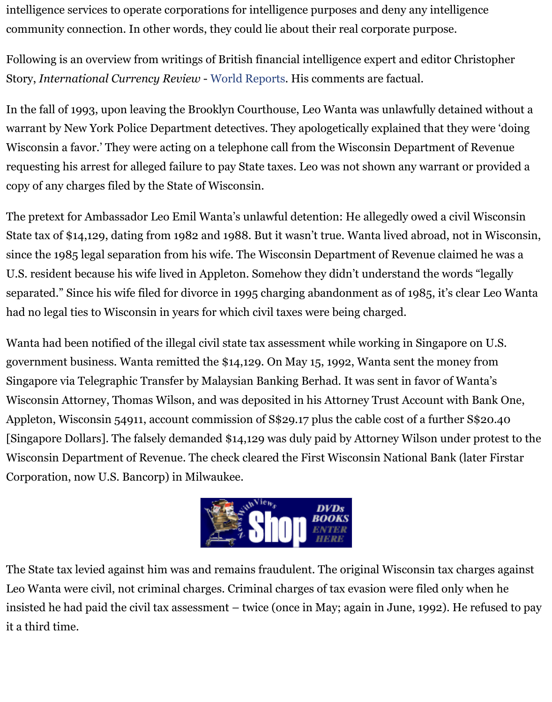In the fall of 1993, upon leaving the Brooklyn Courthouse, Leo Wanta was unlawfully detain warrant by New York Police Department detectives. They apologetically explained that they Wisconsin a favor.' They were acting on a telephone call from the Wisconsin Department of requesting his arrest for alleged failure t[o pay State taxe](http://worldreports.org/news/54_leo_wanta_and_the_wisconsin_state_tax_gestapo)s. Leo was not shown any warrant or copy of any charges filed by the State of Wisconsin.

The pretext for Ambassador Leo Emil Wanta's unlawful detention: He allegedly owed a civil State tax of \$14,129, dating from 1982 and 1988. But it wasn't true. Wanta lived abroad, not since the 1985 legal separation from his wife. The Wisconsin Department of Revenue claime U.S. resident because his wife lived in Appleton. Somehow they didn't understand the word separated." Since his wife filed for divorce in 1995 charging abandonment as of 1985, it's cle had no legal ties to Wisconsin in years for which civil taxes were being charged.

Wanta had been notified of the illegal civil state tax assessment while working in Singapore government business. Wanta remitted the \$14,129. On May 15, 1992, Wanta sent the money Singapore via Telegraphic Transfer by Malaysian Banking Berhad. It was sent in favor of Wa Wisconsin Attorney, Thomas Wilson, and was deposited in his Attorney Trust Account with Appleton, Wisconsin 54911, account commission of S\$29.17 plus the cable cost of a further S [Singapore Dollars]. The falsely demanded \$14,129 was duly paid by Attorney Wilson under Wisconsin Department of Revenue. The check cleared the First Wisconsin National Bank (later First Corporation, now U.S. Bancorp) in Milwaukee.



The State tax levied against him was and remains fraudulent. The original Wisconsin tax ch Leo Wanta were civil, not criminal charges. Criminal charges of tax evasion were filed only when insisted he had paid the civil tax assessment – twice (once in May; again in June, 1992). He it a third time.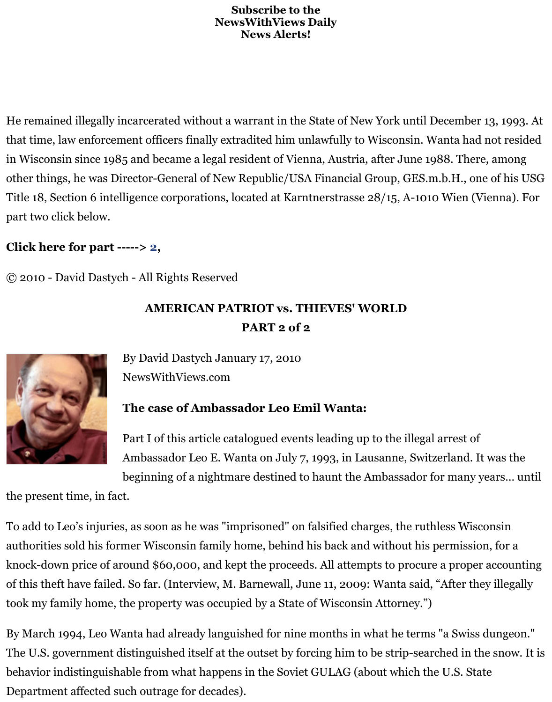He remained illegally incarcerated without a warrant in the State of New York until Decemb that time, law enforcement officers finally extradited him unlawfully to Wisconsin. Wanta h in Wisconsin since 1985 and became a legal resident of Vienna, Austria, after June 1988. Th other things, he was Director-General of New Republic/USA Financial Group, GES.m.b.H., Title 18, Section 6 intelligence corporations, located at Karntnerstrasse 28/15, A-1010 Wien part two click below.

# **Click here for part -----> 2,**

© 2010 - David Dastych - All Rights Reserved

# **AMERICAN PATRIOT vs. THIEVES' WORLD PART 2 of 2**



By David Dastych January 17, 2010 NewsWithViews.com

### **The case of Ambassador Leo Emil Wanta:**

Part I of this article catalogued events leading up to the illegal arrest Ambassador Leo E. Wanta on July 7, 1993, in Lausanne, Switzerland.

beginning of a nightmare destined to haunt the Ambassador for man

the present time, in fact.

To add to Leo's injuries, as soon as he was "imprisoned" on falsified charges, the ruthless W authorities sold his former Wisconsin family home, behind his back and without his permis knock-down price of around \$60,000, and kept the proceeds. All attempts to procure a prop of this theft have failed. So far. (Interview, M. Barnewall, June 11, 2009: Wanta said, "After took my family home, the property was occupied by a State of Wisconsin Attorney.")

By March 1994, Leo Wanta had already languished for nine months in what he terms "a Swi The U.S. government distinguished itself at the outset by forcing him to be strip-searched in behavior indistinguishable from what happens in the Soviet GULAG (about which the U.S. States) Department affected such outrage for decades).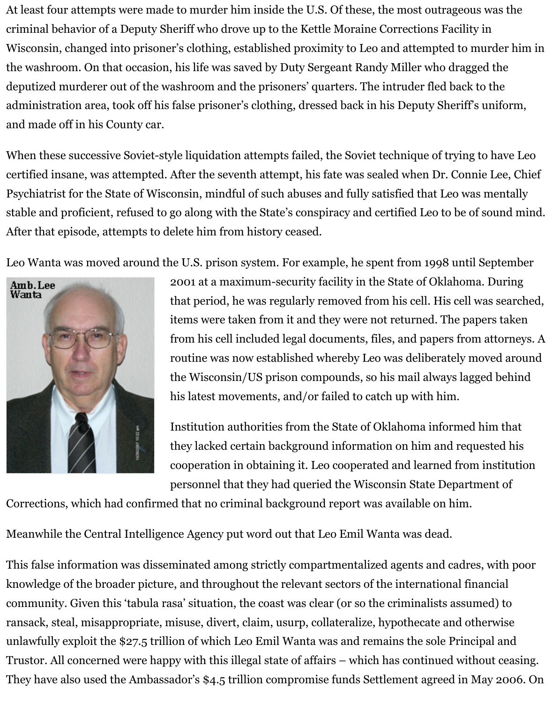At least four attempts were made to murder him inside the U.S. Of these, the most outrageous was the criminal behavior of a Deputy Sheriff who drove up to the Kettle Moraine Corrections Facility in Wisconsin, changed into prisoner's clothing, established proximity to Leo and attempted to murder him in the washroom. On that occasion, his life was saved by Duty Sergeant Randy Miller who dragged the deputized murderer out of the washroom and the prisoners' quarters. The intruder fled back to the administration area, took off his false prisoner's clothing, dressed back in his Deputy Sheriff's uniform, and made off in his County car.

When these successive Soviet-style liquidation attempts failed, the Soviet technique of trying to have Leo certified insane, was attempted. After the seventh attempt, his fate was sealed when Dr. Connie Lee, Chief Psychiatrist for the State of Wisconsin, mindful of such abuses and fully satisfied that Leo was mentally stable and proficient, refused to go along with the State's conspiracy and certified Leo to be of sound mind. After that episode, attempts to delete him from history ceased.

Leo Wanta was moved around the U.S. prison system. For example, he spent from 1998 until September



2001 at a maximum-security facility in the State of Oklahoma. During that period, he was regularly removed from his cell. His cell was searched, items were taken from it and they were not returned. The papers taken from his cell included legal documents, files, and papers from attorneys. A routine was now established whereby Leo was deliberately moved around the Wisconsin/US prison compounds, so his mail always lagged behind his latest movements, and/or failed to catch up with him.

Institution authorities from the State of Oklahoma informed him that they lacked certain background information on him and requested his cooperation in obtaining it. Leo cooperated and learned from institution personnel that they had queried the Wisconsin State Department of

Corrections, which had confirmed that no criminal background report was available on him.

Meanwhile the Central Intelligence Agency put word out that Leo Emil Wanta was dead.

This false information was disseminated among strictly compartmentalized agents and cadres, with poor knowledge of the broader picture, and throughout the relevant sectors of the international financial community. Given this 'tabula rasa' situation, the coast was clear (or so the criminalists assumed) to ransack, steal, misappropriate, misuse, divert, claim, usurp, collateralize, hypothecate and otherwise unlawfully exploit the \$27.5 trillion of which Leo Emil Wanta was and remains the sole Principal and Trustor. All concerned were happy with this illegal state of affairs – which has continued without ceasing. They have also used the Ambassador's \$4.5 trillion compromise funds Settlement agreed in May 2006. On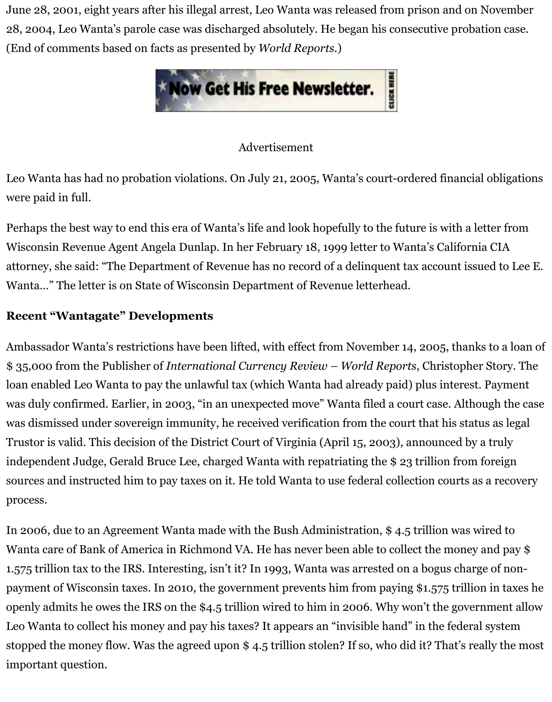

#### Advertisement

Leo Wanta has had no probation violations. On July 21, 2005, Wanta's court-ordered financ were paid in full.

Perhaps the best way to end this era of Wanta's life and look hopefully to the future is with a Wisconsin Revenue Agent Angela Dunlap. In her February 18, 1999 letter to Wanta's Califor attorney, she said: "The Department of Revenue has no record of a delinquent tax account is Wanta…" The letter is on State of Wisconsin Department of Revenue letterhead.

# **Recent "Wantagate" Developments**

Ambassador Wanta's restrictions have been lifted, with effect from November 14, 2005, tha \$ 35,000 from the Publisher of *International Currency Review – World Reports*, Christopl loan enabled Leo Wanta to pay the unlawful tax (which Wanta had already paid) plus intere was duly confirmed. Earlier, in 2003, "in an unexpected move" Wanta filed a court case. Alt was dismissed under sovereign immunity, he received verification from the court that his st Trustor is valid. This decision of the District Court of Virginia (April 15, 2003), announced by independent Judge, Gerald Bruce Lee, charged Wanta with repatriating the \$23 trillion from sources and instructed him to pay taxes on it. He told Wanta to use federal collection courts process.

In 2006, due to an Agreement Wanta made with the Bush Administration,  $$4.5$  trillion was Wanta care of Bank of America in Richmond VA. He has never been able to collect the mone 1.575 trillion tax to the IRS. Interesting, isn't it? In 1993, Wanta was arrested on a bogus cha payment of Wisconsin taxes. In 2010, the government prevents him from paying \$1.575 trill openly admits he owes the IRS on the \$4.5 trillion wired to him in 2006. Why won't the gov Leo Wanta to collect his money and pay his taxes? It appears an "invisible hand" in the fede stopped the money flow. Was the agreed upon  $$4.5$  trillion stolen? If so, who did it? That's important question.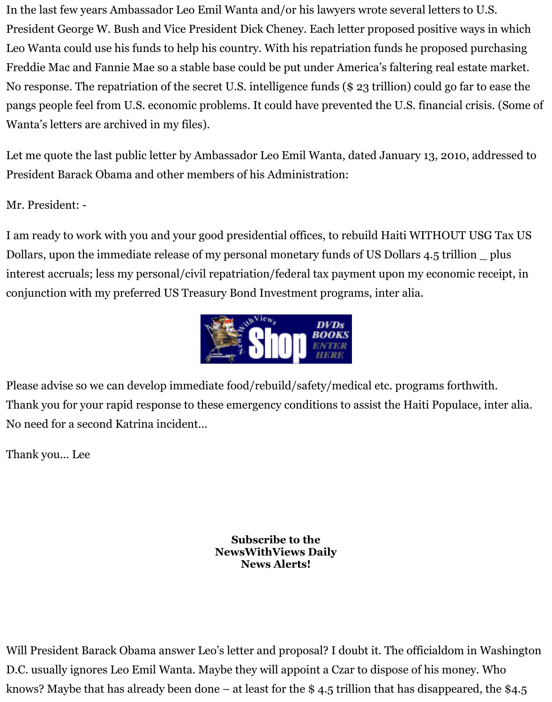pangs people feel from U.S. economic problems. It could have prevented the U.S. financial of Wanta's letters are archived in my files).

Let me quote the last public letter by Ambassador Leo Emil Wanta, dated January 13, 2010, President Barack Obama and other members of his Administration:

Mr. President: -

I am ready to work with you and your good presidential offices, to rebuild Haiti WITHOUT Dollars, upon the immediate release of my personal monetary funds of US Dollars 4.5 trillion interest accruals; less my personal/civil repatriation/federal tax payment upon my economi conjunction with my preferred US Treasury Bond Investment programs, inter alia.



Please advise so we can develop immediate food/rebuild/safety/medical etc. programs forth Thank you for your rapid response to these emergency conditions to assist the Haiti Popula [No need for a second Katrina incident...](http://www.newswithviewsstore.com/mm5/merchant.mvc)

Thank you... Lee

**Subscribe to the NewsWithViews Daily News Alerts!**

Will President Barack Obama answer Leo's letter and proposal? I doubt it. The officialdom i D.C. usually ignores Leo Emil Wanta. Maybe they will appoint a Czar to dispose of his mone knows? Maybe that has already been done – at least for the \$4.5 trillion that has disappeare